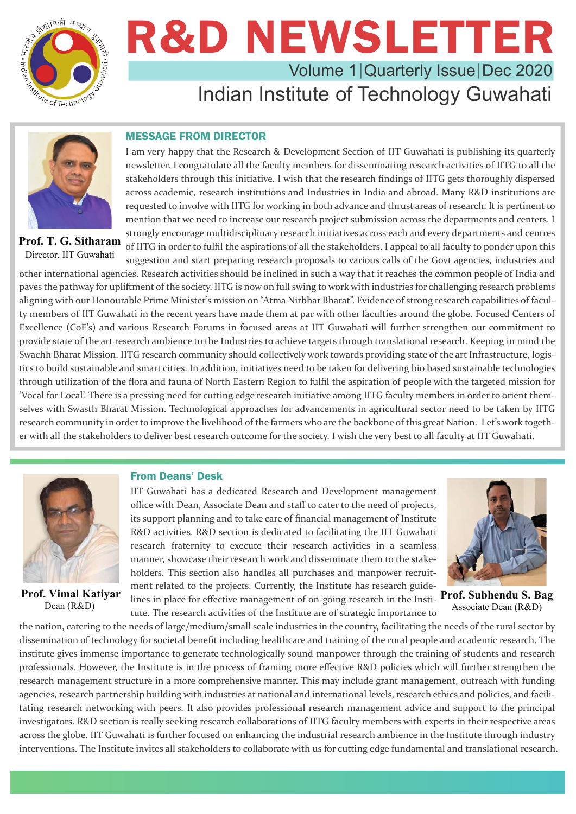

### R&D NEWSLETTER Volume 1 | Quarterly Issue | Dec 2020

### Indian Institute of Technology Guwahati



**Prof. T. G. Sitharam** Director, IIT Guwahati

#### MESSAGE FROM DIRECTOR

I am very happy that the Research & Development Section of IIT Guwahati is publishing its quarterly newsletter. I congratulate all the faculty members for disseminating research activities of IITG to all the stakeholders through this initiative. I wish that the research findings of IITG gets thoroughly dispersed across academic, research institutions and Industries in India and abroad. Many R&D institutions are requested to involve with IITG for working in both advance and thrust areas of research. It is pertinent to mention that we need to increase our research project submission across the departments and centers. I strongly encourage multidisciplinary research initiatives across each and every departments and centres of IITG in order to fulfil the aspirations of all the stakeholders. I appeal to all faculty to ponder upon this suggestion and start preparing research proposals to various calls of the Govt agencies, industries and

other international agencies. Research activities should be inclined in such a way that it reaches the common people of India and paves the pathway for upliftment of the society. IITG is now on full swing to work with industries for challenging research problems aligning with our Honourable Prime Minister's mission on "Atma Nirbhar Bharat". Evidence of strong research capabilities of faculty members of IIT Guwahati in the recent years have made them at par with other faculties around the globe. Focused Centers of Excellence (CoE's) and various Research Forums in focused areas at IIT Guwahati will further strengthen our commitment to provide state of the art research ambience to the Industries to achieve targets through translational research. Keeping in mind the Swachh Bharat Mission, IITG research community should collectively work towards providing state of the art Infrastructure, logistics to build sustainable and smart cities. In addition, initiatives need to be taken for delivering bio based sustainable technologies through utilization of the flora and fauna of North Eastern Region to fulfil the aspiration of people with the targeted mission for 'Vocal for Local'. There is a pressing need for cutting edge research initiative among IITG faculty members in order to orient themselves with Swasth Bharat Mission. Technological approaches for advancements in agricultural sector need to be taken by IITG research community in order to improve the livelihood of the farmers who are the backbone of this great Nation. Let's work together with all the stakeholders to deliver best research outcome for the society. I wish the very best to all faculty at IIT Guwahati.



**Prof. Vimal Katiyar** Dean (R&D)

#### From Deans' Desk

IIT Guwahati has a dedicated Research and Development management office with Dean, Associate Dean and staff to cater to the need of projects, its support planning and to take care of financial management of Institute R&D activities. R&D section is dedicated to facilitating the IIT Guwahati research fraternity to execute their research activities in a seamless manner, showcase their research work and disseminate them to the stakeholders. This section also handles all purchases and manpower recruitment related to the projects. Currently, the Institute has research guidelines in place for effective management of on-going research in the Institute. The research activities of the Institute are of strategic importance to



**Prof. Subhendu S. Bag** Associate Dean (R&D)

the nation, catering to the needs of large/medium/small scale industries in the country, facilitating the needs of the rural sector by dissemination of technology for societal benefit including healthcare and training of the rural people and academic research. The institute gives immense importance to generate technologically sound manpower through the training of students and research professionals. However, the Institute is in the process of framing more effective R&D policies which will further strengthen the research management structure in a more comprehensive manner. This may include grant management, outreach with funding agencies, research partnership building with industries at national and international levels, research ethics and policies, and facilitating research networking with peers. It also provides professional research management advice and support to the principal investigators. R&D section is really seeking research collaborations of IITG faculty members with experts in their respective areas across the globe. IIT Guwahati is further focused on enhancing the industrial research ambience in the Institute through industry interventions. The Institute invites all stakeholders to collaborate with us for cutting edge fundamental and translational research.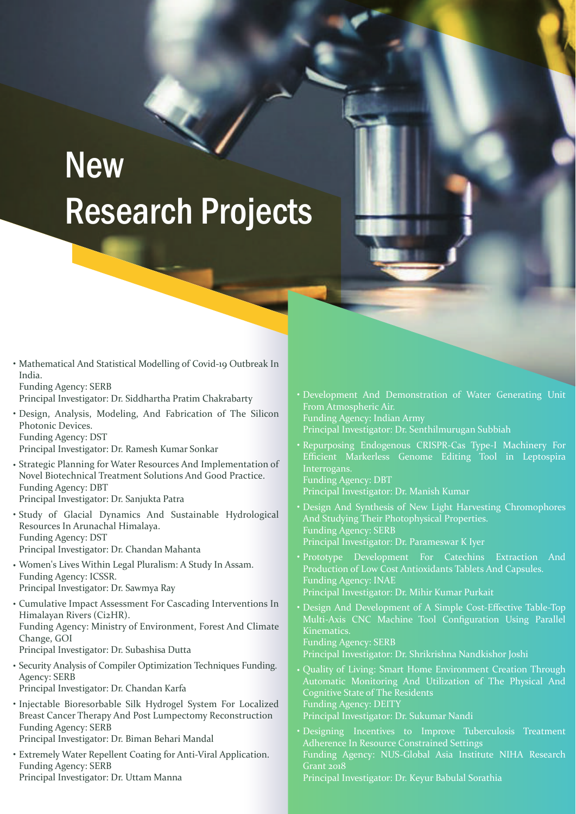# **New** Research Projects

• Mathematical And Statistical Modelling of Covid-19 Outbreak In India. Funding Agency: SERB

Principal Investigator: Dr. Siddhartha Pratim Chakrabarty

Design, Analysis, Modeling, And Fabrication of The Silicon • Photonic Devices. Funding Agency: DST

Principal Investigator: Dr. Ramesh Kumar Sonkar

- Strategic Planning for Water Resources And Implementation of Novel Biotechnical Treatment Solutions And Good Practice. Funding Agency: DBT Principal Investigator: Dr. Sanjukta Patra
- Study of Glacial Dynamics And Sustainable Hydrological Resources In Arunachal Himalaya. Funding Agency: DST Principal Investigator: Dr. Chandan Mahanta
- Women's Lives Within Legal Pluralism: A Study In Assam. Funding Agency: ICSSR. Principal Investigator: Dr. Sawmya Ray
- Cumulative Impact Assessment For Cascading Interventions In Himalayan Rivers (Ci2HR). Funding Agency: Ministry of Environment, Forest And Climate

Change, GOI Principal Investigator: Dr. Subashisa Dutta

• Security Analysis of Compiler Optimization Techniques Funding. Agency: SERB

Principal Investigator: Dr. Chandan Karfa

- · Injectable Bioresorbable Silk Hydrogel System For Localized Breast Cancer Therapy And Post Lumpectomy Reconstruction Funding Agency: SERB Principal Investigator: Dr. Biman Behari Mandal
- Extremely Water Repellent Coating for Anti-Viral Application. Funding Agency: SERB Principal Investigator: Dr. Uttam Manna
- Development And Demonstration of Water Generating Unit From Atmospheric Air. Funding Agency: Indian Army
- Principal Investigator: Dr. Senthilmurugan Subbiah
- Repurposing Endogenous CRISPR-Cas Type-I Machinery For Efficient Markerless Genome Editing Tool in Leptospira Interrogans.
- Funding Agency: DBT Principal Investigator: Dr. Manish Kumar
- Design And Synthesis of New Light Harvesting Chromophores And Studying Their Photophysical Properties. Funding Agency: SERB Principal Investigator: Dr. Parameswar K Iyer
- Prototype Development For Catechins Extraction And Production of Low Cost Antioxidants Tablets And Capsules. Funding Agency: INAE Principal Investigator: Dr. Mihir Kumar Purkait
- Design And Development of A Simple Cost-Effective Table-Top Multi-Axis CNC Machine Tool Configuration Using Parallel Kinematics. Funding Agency: SERB Principal Investigator: Dr. Shrikrishna Nandkishor Joshi
- Quality of Living: Smart Home Environment Creation Through Automatic Monitoring And Utilization of The Physical And Cognitive State of The Residents Funding Agency: DEITY

Principal Investigator: Dr. Sukumar Nandi

• Designing Incentives to Improve Tuberculosis Treatment Adherence In Resource Constrained Settings Funding Agency: NUS-Global Asia Institute NIHA Research  $\overline{G}$ rant 2018

Principal Investigator: Dr. Keyur Babulal Sorathia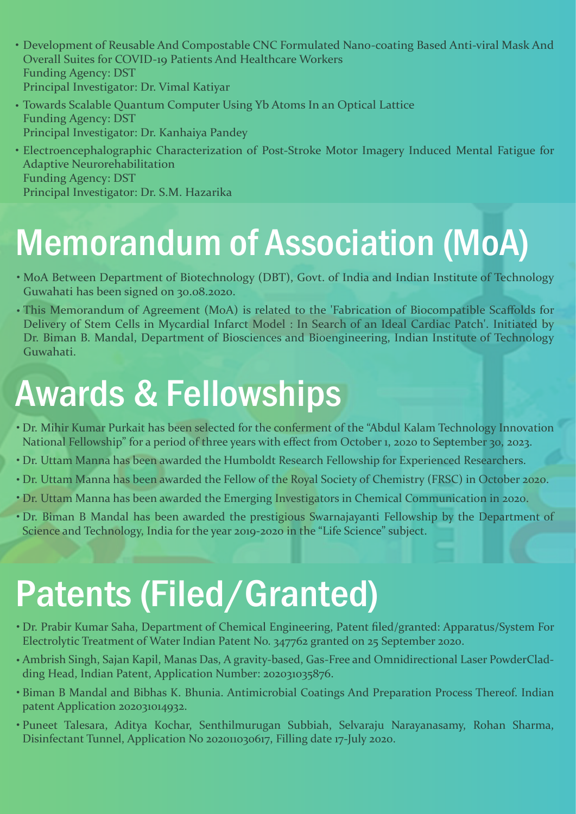- Development of Reusable And Compostable CNC Formulated Nano-coating Based Anti-viral Mask And Overall Suites for COVID-19 Patients And Healthcare Workers Funding Agency: DST Principal Investigator: Dr. Vimal Katiyar
- Towards Scalable Quantum Computer Using Yb Atoms In an Optical Lattice Funding Agency: DST Principal Investigator: Dr. Kanhaiya Pandey
- Electroencephalographic Characterization of Post-Stroke Motor Imagery Induced Mental Fatigue for Adaptive Neurorehabilitation Funding Agency: DST Principal Investigator: Dr. S.M. Hazarika

## Memorandum of Association (MoA)

- MoA Between Department of Biotechnology (DBT), Govt. of India and Indian Institute of Technology Guwahati has been signed on 30.08.2020.
- This Memorandum of Agreement (MoA) is related to the 'Fabrication of Biocompatible Scaffolds for Delivery of Stem Cells in Mycardial Infarct Model : In Search of an Ideal Cardiac Patch'. Initiated by Dr. Biman B. Mandal, Department of Biosciences and Bioengineering, Indian Institute of Technology Guwahati.

### Awards & Fellowships

- Dr. Mihir Kumar Purkait has been selected for the conferment of the "Abdul Kalam Technology Innovation National Fellowship" for a period of three years with effect from October 1, 2020 to September 30, 2023.
- Dr. Uttam Manna has been awarded the Humboldt Research Fellowship for Experienced Researchers.
- Dr. Uttam Manna has been awarded the Fellow of the Royal Society of Chemistry (FRSC) in October 2020. •
- Dr. Uttam Manna has been awarded the Emerging Investigators in Chemical Communication in 2020. •
- Dr. Biman B Mandal has been awarded the prestigious Swarnajayanti Fellowship by the Department of Science and Technology, India for the year 2019-2020 in the "Life Science" subject.

# Patents (Filed/Granted)

- Dr. Prabir Kumar Saha, Department of Chemical Engineering, Patent filed/granted: Apparatus/System For Electrolytic Treatment of Water Indian Patent No. 347762 granted on 25 September 2020.
- Ambrish Singh, Sajan Kapil, Manas Das, A gravity-based, Gas-Free and Omnidirectional Laser PowderClad-• ding Head, Indian Patent, Application Number: 202031035876.
- Biman B Mandal and Bibhas K. Bhunia. Antimicrobial Coatings And Preparation Process Thereof. Indian patent Application 202031014932.
- Puneet Talesara, Aditya Kochar, Senthilmurugan Subbiah, Selvaraju Narayanasamy, Rohan Sharma, •Disinfectant Tunnel, Application No 202011030617, Filling date 17-July 2020.